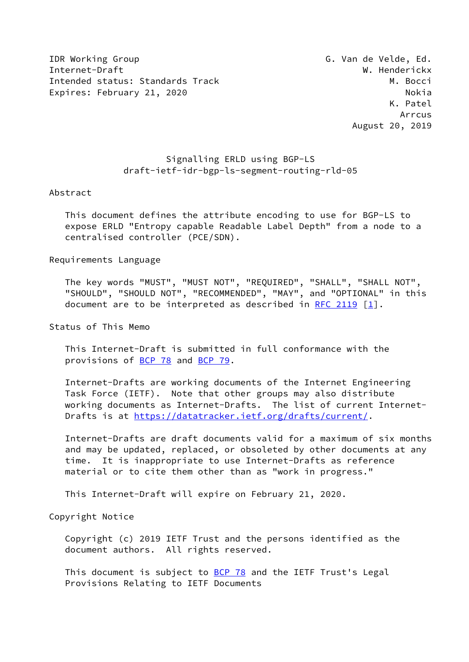IDR Working Group G. Van de Velde, Ed. Internet-Draft W. Henderickx Intended status: Standards Track M. Bocci Expires: February 21, 2020 and the contract of the Nokia

# Signalling ERLD using BGP-LS draft-ietf-idr-bgp-ls-segment-routing-rld-05

#### Abstract

 This document defines the attribute encoding to use for BGP-LS to expose ERLD "Entropy capable Readable Label Depth" from a node to a centralised controller (PCE/SDN).

Requirements Language

 The key words "MUST", "MUST NOT", "REQUIRED", "SHALL", "SHALL NOT", "SHOULD", "SHOULD NOT", "RECOMMENDED", "MAY", and "OPTIONAL" in this document are to be interpreted as described in [RFC 2119](https://datatracker.ietf.org/doc/pdf/rfc2119)  $\lceil 1 \rceil$ .

Status of This Memo

 This Internet-Draft is submitted in full conformance with the provisions of [BCP 78](https://datatracker.ietf.org/doc/pdf/bcp78) and [BCP 79](https://datatracker.ietf.org/doc/pdf/bcp79).

 Internet-Drafts are working documents of the Internet Engineering Task Force (IETF). Note that other groups may also distribute working documents as Internet-Drafts. The list of current Internet- Drafts is at<https://datatracker.ietf.org/drafts/current/>.

 Internet-Drafts are draft documents valid for a maximum of six months and may be updated, replaced, or obsoleted by other documents at any time. It is inappropriate to use Internet-Drafts as reference material or to cite them other than as "work in progress."

This Internet-Draft will expire on February 21, 2020.

Copyright Notice

 Copyright (c) 2019 IETF Trust and the persons identified as the document authors. All rights reserved.

This document is subject to **[BCP 78](https://datatracker.ietf.org/doc/pdf/bcp78)** and the IETF Trust's Legal Provisions Relating to IETF Documents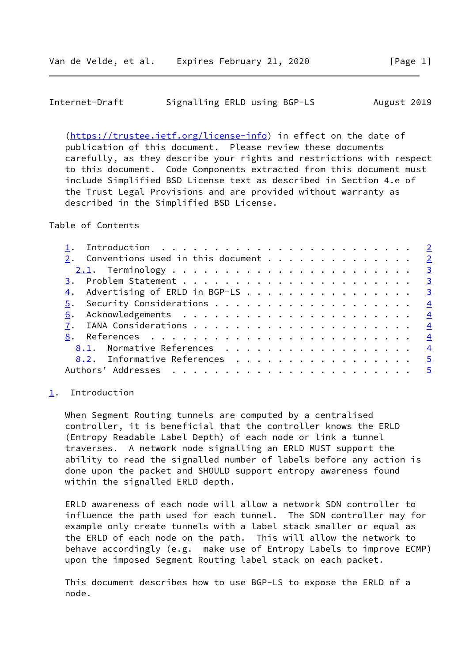### <span id="page-1-1"></span>Internet-Draft Signalling ERLD using BGP-LS August 2019

 [\(https://trustee.ietf.org/license-info](https://trustee.ietf.org/license-info)) in effect on the date of publication of this document. Please review these documents carefully, as they describe your rights and restrictions with respect to this document. Code Components extracted from this document must include Simplified BSD License text as described in Section 4.e of the Trust Legal Provisions and are provided without warranty as described in the Simplified BSD License.

Table of Contents

| 2. Conventions used in this document 2            |
|---------------------------------------------------|
|                                                   |
|                                                   |
|                                                   |
| $\underline{4}$ . Advertising of ERLD in BGP-LS 3 |
|                                                   |
|                                                   |
|                                                   |
|                                                   |
| 8.1. Normative References 4                       |
| 8.2. Informative References 5                     |
|                                                   |
|                                                   |

#### <span id="page-1-0"></span>[1](#page-1-0). Introduction

 When Segment Routing tunnels are computed by a centralised controller, it is beneficial that the controller knows the ERLD (Entropy Readable Label Depth) of each node or link a tunnel traverses. A network node signalling an ERLD MUST support the ability to read the signalled number of labels before any action is done upon the packet and SHOULD support entropy awareness found within the signalled ERLD depth.

 ERLD awareness of each node will allow a network SDN controller to influence the path used for each tunnel. The SDN controller may for example only create tunnels with a label stack smaller or equal as the ERLD of each node on the path. This will allow the network to behave accordingly (e.g. make use of Entropy Labels to improve ECMP) upon the imposed Segment Routing label stack on each packet.

 This document describes how to use BGP-LS to expose the ERLD of a node.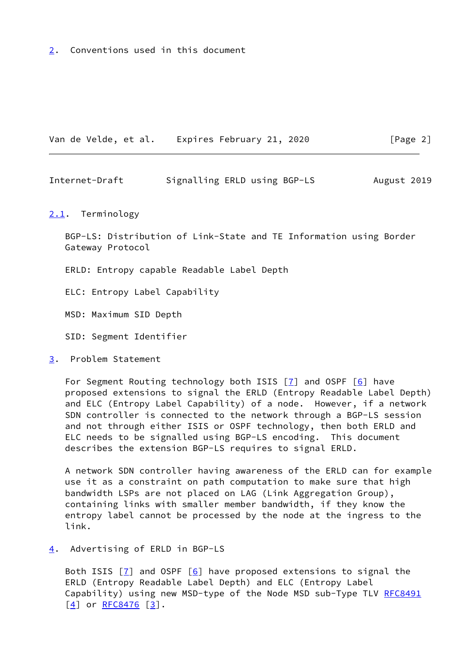<span id="page-2-0"></span>[2](#page-2-0). Conventions used in this document

Van de Velde, et al. Expires February 21, 2020 [Page 2]

<span id="page-2-2"></span>Internet-Draft Signalling ERLD using BGP-LS August 2019

<span id="page-2-1"></span>[2.1](#page-2-1). Terminology

 BGP-LS: Distribution of Link-State and TE Information using Border Gateway Protocol

ERLD: Entropy capable Readable Label Depth

ELC: Entropy Label Capability

MSD: Maximum SID Depth

SID: Segment Identifier

<span id="page-2-3"></span>[3](#page-2-3). Problem Statement

For Segment Routing technology both ISIS  $[7]$  and OSPF  $[6]$  $[6]$  have proposed extensions to signal the ERLD (Entropy Readable Label Depth) and ELC (Entropy Label Capability) of a node. However, if a network SDN controller is connected to the network through a BGP-LS session and not through either ISIS or OSPF technology, then both ERLD and ELC needs to be signalled using BGP-LS encoding. This document describes the extension BGP-LS requires to signal ERLD.

 A network SDN controller having awareness of the ERLD can for example use it as a constraint on path computation to make sure that high bandwidth LSPs are not placed on LAG (Link Aggregation Group), containing links with smaller member bandwidth, if they know the entropy label cannot be processed by the node at the ingress to the link.

<span id="page-2-4"></span>[4](#page-2-4). Advertising of ERLD in BGP-LS

Both ISIS  $\boxed{7}$  and OSPF  $\boxed{6}$  have proposed extensions to signal the ERLD (Entropy Readable Label Depth) and ELC (Entropy Label Capability) using new MSD-type of the Node MSD sub-Type TLV [RFC8491](https://datatracker.ietf.org/doc/pdf/rfc8491)  $[4]$  $[4]$  or [RFC8476](https://datatracker.ietf.org/doc/pdf/rfc8476)  $[3]$  $[3]$ .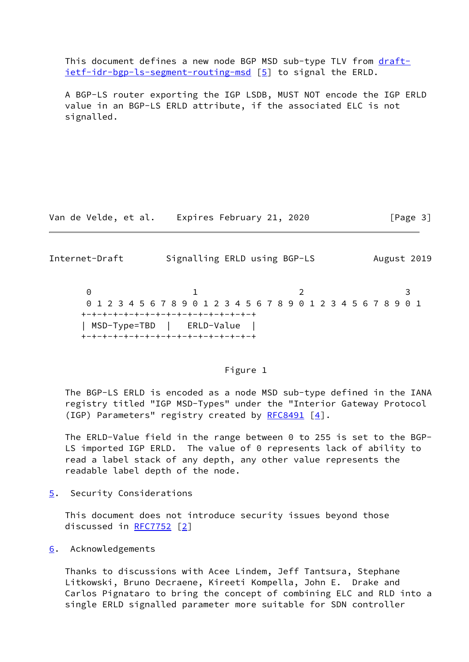This document defines a new node BGP MSD sub-type TLV from [draft](https://datatracker.ietf.org/doc/pdf/draft-ietf-idr-bgp-ls-segment-routing-msd) [ietf-idr-bgp-ls-segment-routing-msd](https://datatracker.ietf.org/doc/pdf/draft-ietf-idr-bgp-ls-segment-routing-msd) [\[5](#page-4-8)] to signal the ERLD.

 A BGP-LS router exporting the IGP LSDB, MUST NOT encode the IGP ERLD value in an BGP-LS ERLD attribute, if the associated ELC is not signalled.

Van de Velde, et al. Expires February 21, 2020 [Page 3]

<span id="page-3-1"></span>Internet-Draft Signalling ERLD using BGP-LS August 2019

0 1 2 3 0 1 2 3 4 5 6 7 8 9 0 1 2 3 4 5 6 7 8 9 0 1 2 3 4 5 6 7 8 9 0 1 +-+-+-+-+-+-+-+-+-+-+-+-+-+-+-+-+ | MSD-Type=TBD | ERLD-Value | +-+-+-+-+-+-+-+-+-+-+-+-+-+-+-+-+

## Figure 1

 The BGP-LS ERLD is encoded as a node MSD sub-type defined in the IANA registry titled "IGP MSD-Types" under the "Interior Gateway Protocol (IGP) Parameters" registry created by [RFC8491](https://datatracker.ietf.org/doc/pdf/rfc8491) [[4\]](#page-4-6).

 The ERLD-Value field in the range between 0 to 255 is set to the BGP- LS imported IGP ERLD. The value of 0 represents lack of ability to read a label stack of any depth, any other value represents the readable label depth of the node.

<span id="page-3-0"></span>[5](#page-3-0). Security Considerations

 This document does not introduce security issues beyond those discussed in [RFC7752](https://datatracker.ietf.org/doc/pdf/rfc7752) [\[2\]](#page-4-9)

<span id="page-3-2"></span>[6](#page-3-2). Acknowledgements

 Thanks to discussions with Acee Lindem, Jeff Tantsura, Stephane Litkowski, Bruno Decraene, Kireeti Kompella, John E. Drake and Carlos Pignataro to bring the concept of combining ELC and RLD into a single ERLD signalled parameter more suitable for SDN controller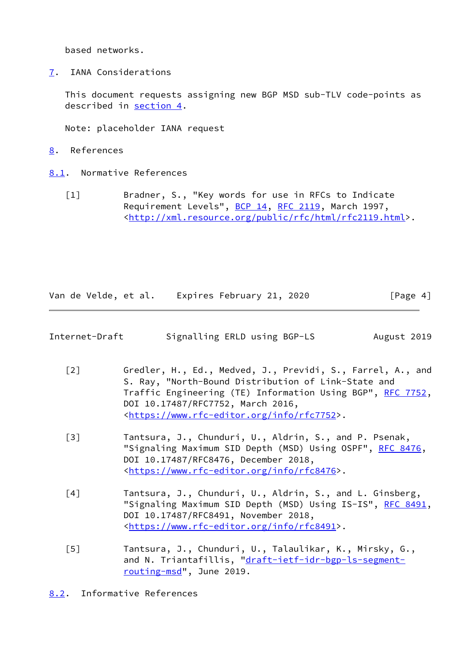based networks.

<span id="page-4-1"></span>[7](#page-4-1). IANA Considerations

 This document requests assigning new BGP MSD sub-TLV code-points as described in [section 4](#page-2-4).

Note: placeholder IANA request

- <span id="page-4-2"></span>[8](#page-4-2). References
- <span id="page-4-3"></span><span id="page-4-0"></span>[8.1](#page-4-3). Normative References
	- [1] Bradner, S., "Key words for use in RFCs to Indicate Requirement Levels", [BCP 14](https://datatracker.ietf.org/doc/pdf/bcp14), [RFC 2119](https://datatracker.ietf.org/doc/pdf/rfc2119), March 1997, <[http://xml.resource.org/public/rfc/html/rfc2119.html>](http://xml.resource.org/public/rfc/html/rfc2119.html).

Van de Velde, et al. Expires February 21, 2020 [Page 4]

<span id="page-4-5"></span>

| Internet-Draft | Signalling ERLD using BGP-LS | August 2019 |  |
|----------------|------------------------------|-------------|--|
|                |                              |             |  |

- <span id="page-4-9"></span> [2] Gredler, H., Ed., Medved, J., Previdi, S., Farrel, A., and S. Ray, "North-Bound Distribution of Link-State and Traffic Engineering (TE) Information Using BGP", [RFC 7752,](https://datatracker.ietf.org/doc/pdf/rfc7752) DOI 10.17487/RFC7752, March 2016, <[https://www.rfc-editor.org/info/rfc7752>](https://www.rfc-editor.org/info/rfc7752).
- <span id="page-4-7"></span> [3] Tantsura, J., Chunduri, U., Aldrin, S., and P. Psenak, "Signaling Maximum SID Depth (MSD) Using OSPF", [RFC 8476,](https://datatracker.ietf.org/doc/pdf/rfc8476) DOI 10.17487/RFC8476, December 2018, <[https://www.rfc-editor.org/info/rfc8476>](https://www.rfc-editor.org/info/rfc8476).
- <span id="page-4-6"></span> [4] Tantsura, J., Chunduri, U., Aldrin, S., and L. Ginsberg, "Signaling Maximum SID Depth (MSD) Using IS-IS", [RFC 8491,](https://datatracker.ietf.org/doc/pdf/rfc8491) DOI 10.17487/RFC8491, November 2018, <[https://www.rfc-editor.org/info/rfc8491>](https://www.rfc-editor.org/info/rfc8491).
- <span id="page-4-8"></span> [5] Tantsura, J., Chunduri, U., Talaulikar, K., Mirsky, G., and N. Triantafillis, ["draft-ietf-idr-bgp-ls-segment](https://datatracker.ietf.org/doc/pdf/draft-ietf-idr-bgp-ls-segment-routing-msd) [routing-msd](https://datatracker.ietf.org/doc/pdf/draft-ietf-idr-bgp-ls-segment-routing-msd)", June 2019.

<span id="page-4-4"></span>[8.2](#page-4-4). Informative References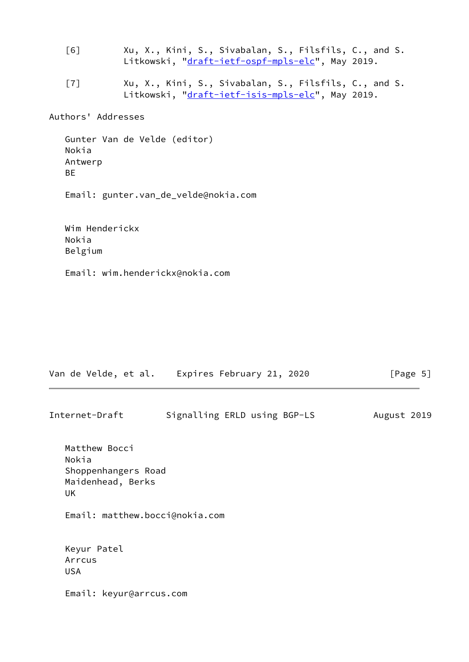<span id="page-5-1"></span> [6] Xu, X., Kini, S., Sivabalan, S., Filsfils, C., and S. Litkowski, "[draft-ietf-ospf-mpls-elc"](https://datatracker.ietf.org/doc/pdf/draft-ietf-ospf-mpls-elc), May 2019.

<span id="page-5-0"></span> [7] Xu, X., Kini, S., Sivabalan, S., Filsfils, C., and S. Litkowski, "[draft-ietf-isis-mpls-elc"](https://datatracker.ietf.org/doc/pdf/draft-ietf-isis-mpls-elc), May 2019.

Authors' Addresses

```
 Gunter Van de Velde (editor)
Nokia
Antwerp
BE
```
Email: gunter.van\_de\_velde@nokia.com

 Wim Henderickx Nokia Belgium

Email: wim.henderickx@nokia.com

|                                                   |                         | Van de Velde, et al. Expires February 21, 2020 | [Page 5]    |
|---------------------------------------------------|-------------------------|------------------------------------------------|-------------|
| Internet-Draft                                    |                         | Signalling ERLD using BGP-LS                   | August 2019 |
| Matthew Bocci<br>Nokia<br>Maidenhead, Berks<br>UK | Shoppenhangers Road     |                                                |             |
|                                                   |                         | Email: matthew.bocci@nokia.com                 |             |
| Keyur Patel<br>Arrcus<br><b>USA</b>               |                         |                                                |             |
|                                                   | Email: keyur@arrcus.com |                                                |             |